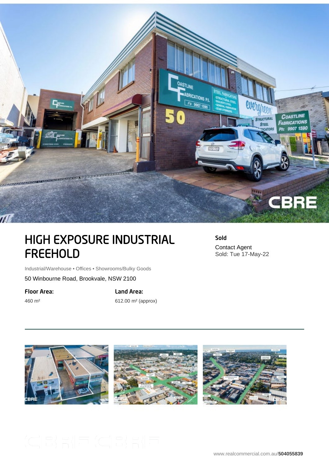

## HIGH EXPOSURE INDUSTRIAL FREEHOLD

Sold Contact Agent Sold: Tue 17-May-22

Industrial/Warehouse • Offices • Showrooms/Bulky Goods

50 Winbourne Road, Brookvale, NSW 2100

Floor Area:

460 m²

Land Area:

612.00 m² (approx)